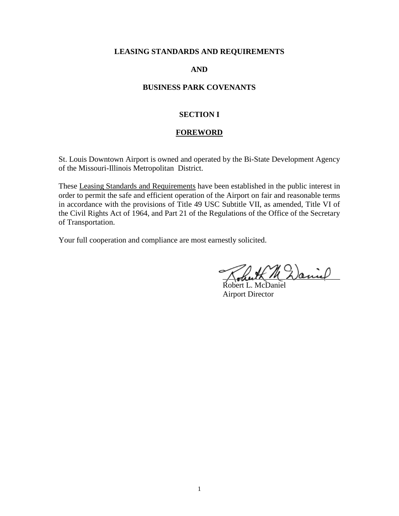## **LEASING STANDARDS AND REQUIREMENTS**

## **AND**

## **BUSINESS PARK COVENANTS**

## **SECTION I**

#### **FOREWORD**

St. Louis Downtown Airport is owned and operated by the Bi-State Development Agency of the Missouri-Illinois Metropolitan District.

These Leasing Standards and Requirements have been established in the public interest in order to permit the safe and efficient operation of the Airport on fair and reasonable terms in accordance with the provisions of Title 49 USC Subtitle VII, as amended, Title VI of the Civil Rights Act of 1964, and Part 21 of the Regulations of the Office of the Secretary of Transportation.

Your full cooperation and compliance are most earnestly solicited.

M Daniel

Robert L. McDaniel Airport Director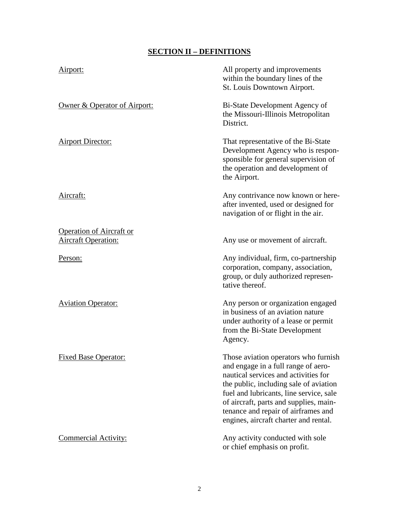# **SECTION II – DEFINITIONS**

| Airport:                                                      | All property and improvements<br>within the boundary lines of the<br>St. Louis Downtown Airport.                                                                                                                                                                                                                                   |
|---------------------------------------------------------------|------------------------------------------------------------------------------------------------------------------------------------------------------------------------------------------------------------------------------------------------------------------------------------------------------------------------------------|
| Owner & Operator of Airport:                                  | Bi-State Development Agency of<br>the Missouri-Illinois Metropolitan<br>District.                                                                                                                                                                                                                                                  |
| <b>Airport Director:</b>                                      | That representative of the Bi-State<br>Development Agency who is respon-<br>sponsible for general supervision of<br>the operation and development of<br>the Airport.                                                                                                                                                               |
| Aircraft:                                                     | Any contrivance now known or here-<br>after invented, used or designed for<br>navigation of or flight in the air.                                                                                                                                                                                                                  |
| <b>Operation of Aircraft or</b><br><u>Aircraft Operation:</u> | Any use or movement of aircraft.                                                                                                                                                                                                                                                                                                   |
| Person:                                                       | Any individual, firm, co-partnership<br>corporation, company, association,<br>group, or duly authorized represen-<br>tative thereof.                                                                                                                                                                                               |
| <b>Aviation Operator:</b>                                     | Any person or organization engaged<br>in business of an aviation nature<br>under authority of a lease or permit<br>from the Bi-State Development<br>Agency.                                                                                                                                                                        |
| <b>Fixed Base Operator:</b>                                   | Those aviation operators who furnish<br>and engage in a full range of aero-<br>nautical services and activities for<br>the public, including sale of aviation<br>fuel and lubricants, line service, sale<br>of aircraft, parts and supplies, main-<br>tenance and repair of airframes and<br>engines, aircraft charter and rental. |
| <b>Commercial Activity:</b>                                   | Any activity conducted with sole<br>or chief emphasis on profit.                                                                                                                                                                                                                                                                   |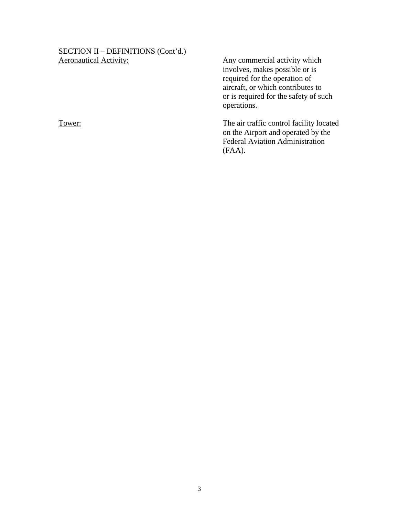# SECTION II – DEFINITIONS (Cont'd.)<br>Aeronautical Activity:

Any commercial activity which involves, makes possible or is required for the operation of aircraft, or which contributes to or is required for the safety of such operations.

Tower: Tower: The air traffic control facility located on the Airport and operated by the Federal Aviation Administration (FAA).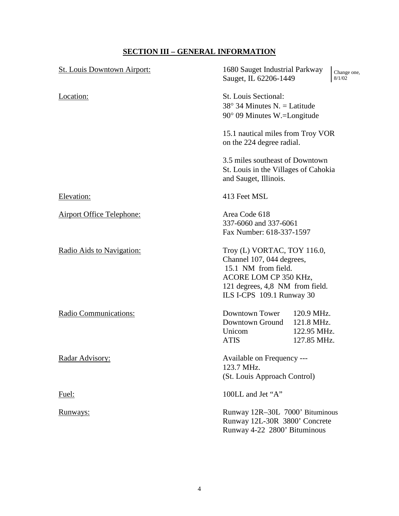# **SECTION III – GENERAL INFORMATION**

| <b>St. Louis Downtown Airport:</b> | 1680 Sauget Industrial Parkway<br>Change one,<br>Sauget, IL 62206-1449<br>8/1/02                                                                                         |  |
|------------------------------------|--------------------------------------------------------------------------------------------------------------------------------------------------------------------------|--|
| Location:                          | St. Louis Sectional:<br>$38^{\circ}$ 34 Minutes N. = Latitude<br>$90^{\circ}$ 09 Minutes W.=Longitude                                                                    |  |
|                                    | 15.1 nautical miles from Troy VOR<br>on the 224 degree radial.                                                                                                           |  |
|                                    | 3.5 miles southeast of Downtown<br>St. Louis in the Villages of Cahokia<br>and Sauget, Illinois.                                                                         |  |
| Elevation:                         | 413 Feet MSL                                                                                                                                                             |  |
| <b>Airport Office Telephone:</b>   | Area Code 618<br>337-6060 and 337-6061<br>Fax Number: 618-337-1597                                                                                                       |  |
| Radio Aids to Navigation:          | Troy (L) VORTAC, TOY 116.0,<br>Channel 107, 044 degrees,<br>15.1 NM from field.<br>ACORE LOM CP 350 KHz,<br>121 degrees, 4,8 NM from field.<br>ILS I-CPS 109.1 Runway 30 |  |
| Radio Communications:              | Downtown Tower<br>120.9 MHz.<br>Downtown Ground<br>121.8 MHz.<br>Unicom<br>122.95 MHz.<br><b>ATIS</b><br>127.85 MHz.                                                     |  |
| Radar Advisory:                    | Available on Frequency ---<br>123.7 MHz.<br>(St. Louis Approach Control)                                                                                                 |  |
| Fuel:                              | 100LL and Jet "A"                                                                                                                                                        |  |
| <u>Runways:</u>                    | Runway 12R-30L 7000' Bituminous<br>Runway 12L-30R 3800' Concrete<br>Runway 4-22 2800' Bituminous                                                                         |  |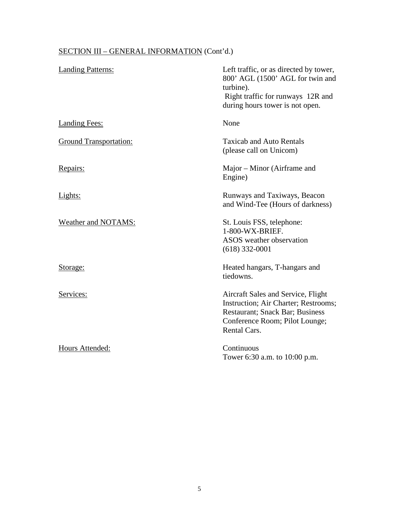# SECTION III – GENERAL INFORMATION (Cont'd.)

| <b>Landing Patterns:</b>      | Left traffic, or as directed by tower,<br>800' AGL (1500' AGL for twin and<br>turbine).<br>Right traffic for runways 12R and<br>during hours tower is not open.         |
|-------------------------------|-------------------------------------------------------------------------------------------------------------------------------------------------------------------------|
| <b>Landing Fees:</b>          | None                                                                                                                                                                    |
| <b>Ground Transportation:</b> | <b>Taxicab and Auto Rentals</b><br>(please call on Unicom)                                                                                                              |
| Repairs:                      | Major – Minor (Airframe and<br>Engine)                                                                                                                                  |
| Lights:                       | Runways and Taxiways, Beacon<br>and Wind-Tee (Hours of darkness)                                                                                                        |
| Weather and NOTAMS:           | St. Louis FSS, telephone:<br>1-800-WX-BRIEF.<br>ASOS weather observation<br>$(618)$ 332-0001                                                                            |
| Storage:                      | Heated hangars, T-hangars and<br>tiedowns.                                                                                                                              |
| Services:                     | Aircraft Sales and Service, Flight<br>Instruction; Air Charter; Restrooms;<br><b>Restaurant</b> ; Snack Bar; Business<br>Conference Room; Pilot Lounge;<br>Rental Cars. |
| Hours Attended:               | Continuous<br>Tower 6:30 a.m. to 10:00 p.m.                                                                                                                             |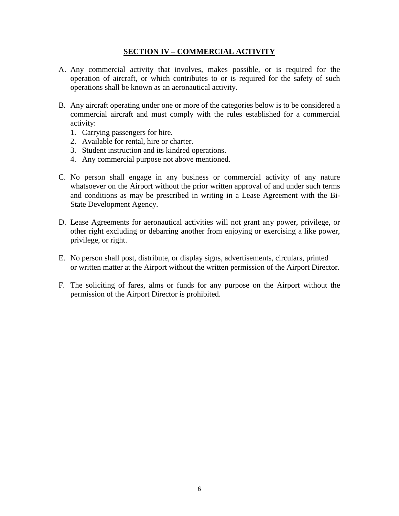## **SECTION IV – COMMERCIAL ACTIVITY**

- A. Any commercial activity that involves, makes possible, or is required for the operation of aircraft, or which contributes to or is required for the safety of such operations shall be known as an aeronautical activity.
- B. Any aircraft operating under one or more of the categories below is to be considered a commercial aircraft and must comply with the rules established for a commercial activity:
	- 1. Carrying passengers for hire.
	- 2. Available for rental, hire or charter.
	- 3. Student instruction and its kindred operations.
	- 4. Any commercial purpose not above mentioned.
- C. No person shall engage in any business or commercial activity of any nature whatsoever on the Airport without the prior written approval of and under such terms and conditions as may be prescribed in writing in a Lease Agreement with the Bi-State Development Agency.
- D. Lease Agreements for aeronautical activities will not grant any power, privilege, or other right excluding or debarring another from enjoying or exercising a like power, privilege, or right.
- E. No person shall post, distribute, or display signs, advertisements, circulars, printed or written matter at the Airport without the written permission of the Airport Director.
- F. The soliciting of fares, alms or funds for any purpose on the Airport without the permission of the Airport Director is prohibited.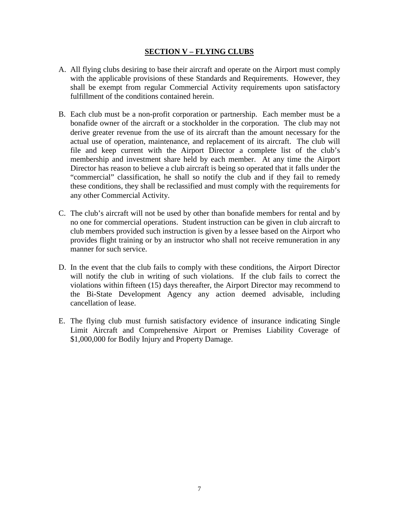## **SECTION V – FLYING CLUBS**

- A. All flying clubs desiring to base their aircraft and operate on the Airport must comply with the applicable provisions of these Standards and Requirements. However, they shall be exempt from regular Commercial Activity requirements upon satisfactory fulfillment of the conditions contained herein.
- B. Each club must be a non-profit corporation or partnership. Each member must be a bonafide owner of the aircraft or a stockholder in the corporation. The club may not derive greater revenue from the use of its aircraft than the amount necessary for the actual use of operation, maintenance, and replacement of its aircraft. The club will file and keep current with the Airport Director a complete list of the club's membership and investment share held by each member. At any time the Airport Director has reason to believe a club aircraft is being so operated that it falls under the "commercial" classification, he shall so notify the club and if they fail to remedy these conditions, they shall be reclassified and must comply with the requirements for any other Commercial Activity.
- C. The club's aircraft will not be used by other than bonafide members for rental and by no one for commercial operations. Student instruction can be given in club aircraft to club members provided such instruction is given by a lessee based on the Airport who provides flight training or by an instructor who shall not receive remuneration in any manner for such service.
- D. In the event that the club fails to comply with these conditions, the Airport Director will notify the club in writing of such violations. If the club fails to correct the violations within fifteen (15) days thereafter, the Airport Director may recommend to the Bi-State Development Agency any action deemed advisable, including cancellation of lease.
- E. The flying club must furnish satisfactory evidence of insurance indicating Single Limit Aircraft and Comprehensive Airport or Premises Liability Coverage of \$1,000,000 for Bodily Injury and Property Damage.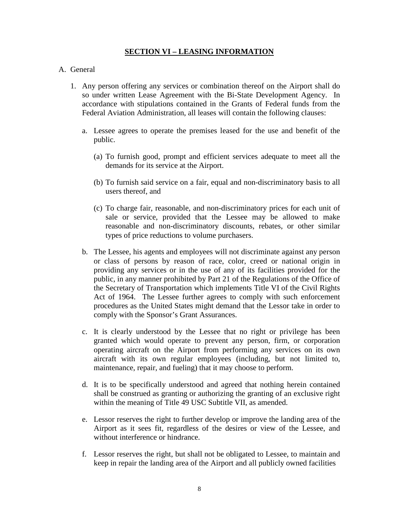## **SECTION VI – LEASING INFORMATION**

## A. General

- 1. Any person offering any services or combination thereof on the Airport shall do so under written Lease Agreement with the Bi-State Development Agency. In accordance with stipulations contained in the Grants of Federal funds from the Federal Aviation Administration, all leases will contain the following clauses:
	- a. Lessee agrees to operate the premises leased for the use and benefit of the public.
		- (a) To furnish good, prompt and efficient services adequate to meet all the demands for its service at the Airport.
		- (b) To furnish said service on a fair, equal and non-discriminatory basis to all users thereof, and
		- (c) To charge fair, reasonable, and non-discriminatory prices for each unit of sale or service, provided that the Lessee may be allowed to make reasonable and non-discriminatory discounts, rebates, or other similar types of price reductions to volume purchasers.
	- b. The Lessee, his agents and employees will not discriminate against any person or class of persons by reason of race, color, creed or national origin in providing any services or in the use of any of its facilities provided for the public, in any manner prohibited by Part 21 of the Regulations of the Office of the Secretary of Transportation which implements Title VI of the Civil Rights Act of 1964. The Lessee further agrees to comply with such enforcement procedures as the United States might demand that the Lessor take in order to comply with the Sponsor's Grant Assurances.
	- c. It is clearly understood by the Lessee that no right or privilege has been granted which would operate to prevent any person, firm, or corporation operating aircraft on the Airport from performing any services on its own aircraft with its own regular employees (including, but not limited to, maintenance, repair, and fueling) that it may choose to perform.
	- d. It is to be specifically understood and agreed that nothing herein contained shall be construed as granting or authorizing the granting of an exclusive right within the meaning of Title 49 USC Subtitle VII, as amended.
	- e. Lessor reserves the right to further develop or improve the landing area of the Airport as it sees fit, regardless of the desires or view of the Lessee, and without interference or hindrance.
	- f. Lessor reserves the right, but shall not be obligated to Lessee, to maintain and keep in repair the landing area of the Airport and all publicly owned facilities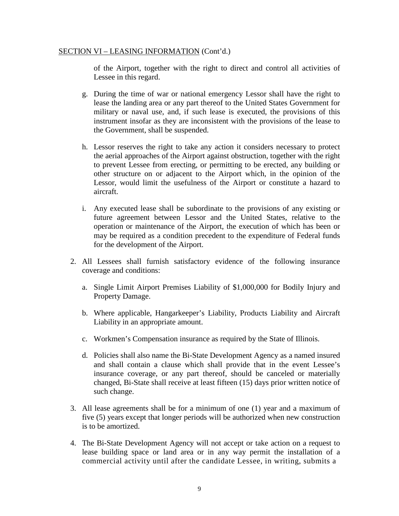of the Airport, together with the right to direct and control all activities of Lessee in this regard.

- g. During the time of war or national emergency Lessor shall have the right to lease the landing area or any part thereof to the United States Government for military or naval use, and, if such lease is executed, the provisions of this instrument insofar as they are inconsistent with the provisions of the lease to the Government, shall be suspended.
- h. Lessor reserves the right to take any action it considers necessary to protect the aerial approaches of the Airport against obstruction, together with the right to prevent Lessee from erecting, or permitting to be erected, any building or other structure on or adjacent to the Airport which, in the opinion of the Lessor, would limit the usefulness of the Airport or constitute a hazard to aircraft.
- i. Any executed lease shall be subordinate to the provisions of any existing or future agreement between Lessor and the United States, relative to the operation or maintenance of the Airport, the execution of which has been or may be required as a condition precedent to the expenditure of Federal funds for the development of the Airport.
- 2. All Lessees shall furnish satisfactory evidence of the following insurance coverage and conditions:
	- a. Single Limit Airport Premises Liability of \$1,000,000 for Bodily Injury and Property Damage.
	- b. Where applicable, Hangarkeeper's Liability, Products Liability and Aircraft Liability in an appropriate amount.
	- c. Workmen's Compensation insurance as required by the State of Illinois.
	- d. Policies shall also name the Bi-State Development Agency as a named insured and shall contain a clause which shall provide that in the event Lessee's insurance coverage, or any part thereof, should be canceled or materially changed, Bi-State shall receive at least fifteen (15) days prior written notice of such change.
- 3. All lease agreements shall be for a minimum of one (1) year and a maximum of five (5) years except that longer periods will be authorized when new construction is to be amortized.
- 4. The Bi-State Development Agency will not accept or take action on a request to lease building space or land area or in any way permit the installation of a commercial activity until after the candidate Lessee, in writing, submits a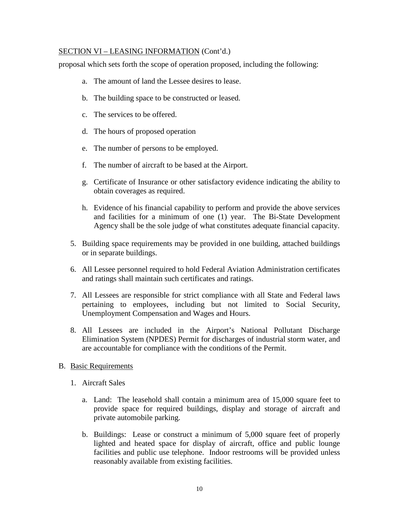proposal which sets forth the scope of operation proposed, including the following:

- a. The amount of land the Lessee desires to lease.
- b. The building space to be constructed or leased.
- c. The services to be offered.
- d. The hours of proposed operation
- e. The number of persons to be employed.
- f. The number of aircraft to be based at the Airport.
- g. Certificate of Insurance or other satisfactory evidence indicating the ability to obtain coverages as required.
- h. Evidence of his financial capability to perform and provide the above services and facilities for a minimum of one (1) year. The Bi-State Development Agency shall be the sole judge of what constitutes adequate financial capacity.
- 5. Building space requirements may be provided in one building, attached buildings or in separate buildings.
- 6. All Lessee personnel required to hold Federal Aviation Administration certificates and ratings shall maintain such certificates and ratings.
- 7. All Lessees are responsible for strict compliance with all State and Federal laws pertaining to employees, including but not limited to Social Security, Unemployment Compensation and Wages and Hours.
- 8. All Lessees are included in the Airport's National Pollutant Discharge Elimination System (NPDES) Permit for discharges of industrial storm water, and are accountable for compliance with the conditions of the Permit.
- B. Basic Requirements
	- 1. Aircraft Sales
		- a. Land: The leasehold shall contain a minimum area of 15,000 square feet to provide space for required buildings, display and storage of aircraft and private automobile parking.
		- b. Buildings: Lease or construct a minimum of 5,000 square feet of properly lighted and heated space for display of aircraft, office and public lounge facilities and public use telephone. Indoor restrooms will be provided unless reasonably available from existing facilities.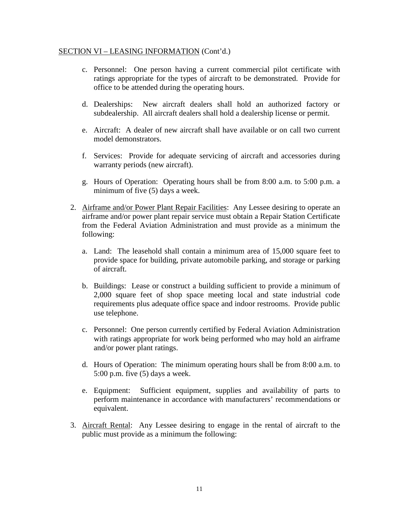- c. Personnel: One person having a current commercial pilot certificate with ratings appropriate for the types of aircraft to be demonstrated. Provide for office to be attended during the operating hours.
- d. Dealerships: New aircraft dealers shall hold an authorized factory or subdealership. All aircraft dealers shall hold a dealership license or permit.
- e. Aircraft: A dealer of new aircraft shall have available or on call two current model demonstrators.
- f. Services: Provide for adequate servicing of aircraft and accessories during warranty periods (new aircraft).
- g. Hours of Operation: Operating hours shall be from 8:00 a.m. to 5:00 p.m. a minimum of five (5) days a week.
- 2. Airframe and/or Power Plant Repair Facilities: Any Lessee desiring to operate an airframe and/or power plant repair service must obtain a Repair Station Certificate from the Federal Aviation Administration and must provide as a minimum the following:
	- a. Land: The leasehold shall contain a minimum area of 15,000 square feet to provide space for building, private automobile parking, and storage or parking of aircraft.
	- b. Buildings: Lease or construct a building sufficient to provide a minimum of 2,000 square feet of shop space meeting local and state industrial code requirements plus adequate office space and indoor restrooms. Provide public use telephone.
	- c. Personnel: One person currently certified by Federal Aviation Administration with ratings appropriate for work being performed who may hold an airframe and/or power plant ratings.
	- d. Hours of Operation: The minimum operating hours shall be from 8:00 a.m. to 5:00 p.m. five (5) days a week.
	- e. Equipment: Sufficient equipment, supplies and availability of parts to perform maintenance in accordance with manufacturers' recommendations or equivalent.
- 3. Aircraft Rental: Any Lessee desiring to engage in the rental of aircraft to the public must provide as a minimum the following: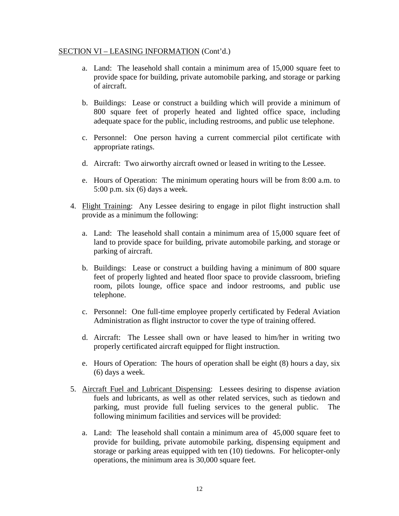- a. Land: The leasehold shall contain a minimum area of 15,000 square feet to provide space for building, private automobile parking, and storage or parking of aircraft.
- b. Buildings: Lease or construct a building which will provide a minimum of 800 square feet of properly heated and lighted office space, including adequate space for the public, including restrooms, and public use telephone.
- c. Personnel: One person having a current commercial pilot certificate with appropriate ratings.
- d. Aircraft: Two airworthy aircraft owned or leased in writing to the Lessee.
- e. Hours of Operation: The minimum operating hours will be from 8:00 a.m. to 5:00 p.m. six (6) days a week.
- 4. Flight Training: Any Lessee desiring to engage in pilot flight instruction shall provide as a minimum the following:
	- a. Land: The leasehold shall contain a minimum area of 15,000 square feet of land to provide space for building, private automobile parking, and storage or parking of aircraft.
	- b. Buildings: Lease or construct a building having a minimum of 800 square feet of properly lighted and heated floor space to provide classroom, briefing room, pilots lounge, office space and indoor restrooms, and public use telephone.
	- c. Personnel: One full-time employee properly certificated by Federal Aviation Administration as flight instructor to cover the type of training offered.
	- d. Aircraft: The Lessee shall own or have leased to him/her in writing two properly certificated aircraft equipped for flight instruction.
	- e. Hours of Operation: The hours of operation shall be eight (8) hours a day, six (6) days a week.
- 5. Aircraft Fuel and Lubricant Dispensing: Lessees desiring to dispense aviation fuels and lubricants, as well as other related services, such as tiedown and parking, must provide full fueling services to the general public. The following minimum facilities and services will be provided:
	- a. Land: The leasehold shall contain a minimum area of 45,000 square feet to provide for building, private automobile parking, dispensing equipment and storage or parking areas equipped with ten (10) tiedowns. For helicopter-only operations, the minimum area is 30,000 square feet.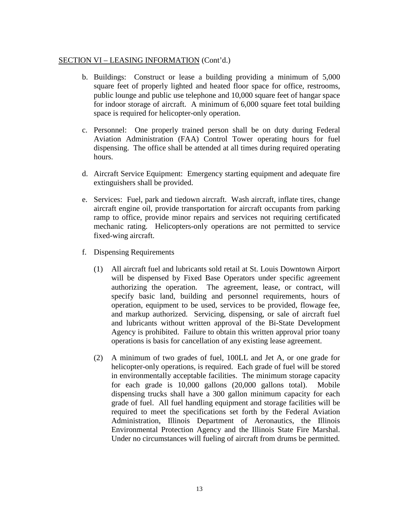- b. Buildings: Construct or lease a building providing a minimum of 5,000 square feet of properly lighted and heated floor space for office, restrooms, public lounge and public use telephone and 10,000 square feet of hangar space for indoor storage of aircraft. A minimum of 6,000 square feet total building space is required for helicopter-only operation.
- c. Personnel: One properly trained person shall be on duty during Federal Aviation Administration (FAA) Control Tower operating hours for fuel dispensing. The office shall be attended at all times during required operating hours.
- d. Aircraft Service Equipment: Emergency starting equipment and adequate fire extinguishers shall be provided.
- e. Services: Fuel, park and tiedown aircraft. Wash aircraft, inflate tires, change aircraft engine oil, provide transportation for aircraft occupants from parking ramp to office, provide minor repairs and services not requiring certificated mechanic rating. Helicopters-only operations are not permitted to service fixed-wing aircraft.
- f. Dispensing Requirements
	- (1) All aircraft fuel and lubricants sold retail at St. Louis Downtown Airport will be dispensed by Fixed Base Operators under specific agreement authorizing the operation. The agreement, lease, or contract, will specify basic land, building and personnel requirements, hours of operation, equipment to be used, services to be provided, flowage fee, and markup authorized. Servicing, dispensing, or sale of aircraft fuel and lubricants without written approval of the Bi-State Development Agency is prohibited. Failure to obtain this written approval prior toany operations is basis for cancellation of any existing lease agreement.
	- (2) A minimum of two grades of fuel, 100LL and Jet A, or one grade for helicopter-only operations, is required. Each grade of fuel will be stored in environmentally acceptable facilities. The minimum storage capacity for each grade is 10,000 gallons (20,000 gallons total). Mobile dispensing trucks shall have a 300 gallon minimum capacity for each grade of fuel. All fuel handling equipment and storage facilities will be required to meet the specifications set forth by the Federal Aviation Administration, Illinois Department of Aeronautics, the Illinois Environmental Protection Agency and the Illinois State Fire Marshal. Under no circumstances will fueling of aircraft from drums be permitted.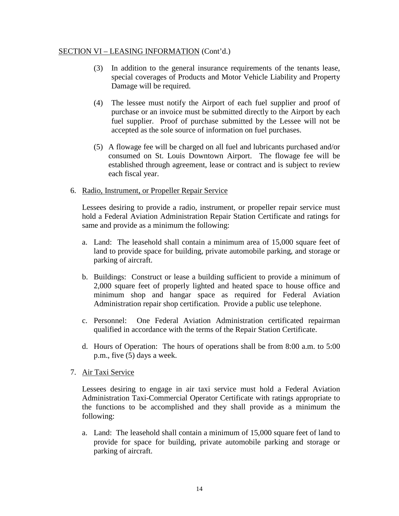- (3) In addition to the general insurance requirements of the tenants lease, special coverages of Products and Motor Vehicle Liability and Property Damage will be required.
- (4) The lessee must notify the Airport of each fuel supplier and proof of purchase or an invoice must be submitted directly to the Airport by each fuel supplier. Proof of purchase submitted by the Lessee will not be accepted as the sole source of information on fuel purchases.
- (5) A flowage fee will be charged on all fuel and lubricants purchased and/or consumed on St. Louis Downtown Airport. The flowage fee will be established through agreement, lease or contract and is subject to review each fiscal year.

## 6. Radio, Instrument, or Propeller Repair Service

Lessees desiring to provide a radio, instrument, or propeller repair service must hold a Federal Aviation Administration Repair Station Certificate and ratings for same and provide as a minimum the following:

- a. Land: The leasehold shall contain a minimum area of 15,000 square feet of land to provide space for building, private automobile parking, and storage or parking of aircraft.
- b. Buildings: Construct or lease a building sufficient to provide a minimum of 2,000 square feet of properly lighted and heated space to house office and minimum shop and hangar space as required for Federal Aviation Administration repair shop certification. Provide a public use telephone.
- c. Personnel: One Federal Aviation Administration certificated repairman qualified in accordance with the terms of the Repair Station Certificate.
- d. Hours of Operation: The hours of operations shall be from 8:00 a.m. to 5:00 p.m., five (5) days a week.
- 7. Air Taxi Service

Lessees desiring to engage in air taxi service must hold a Federal Aviation Administration Taxi-Commercial Operator Certificate with ratings appropriate to the functions to be accomplished and they shall provide as a minimum the following:

a. Land: The leasehold shall contain a minimum of 15,000 square feet of land to provide for space for building, private automobile parking and storage or parking of aircraft.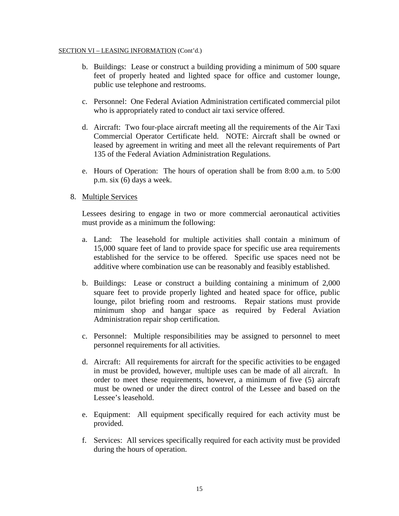- b. Buildings: Lease or construct a building providing a minimum of 500 square feet of properly heated and lighted space for office and customer lounge, public use telephone and restrooms.
- c. Personnel: One Federal Aviation Administration certificated commercial pilot who is appropriately rated to conduct air taxi service offered.
- d. Aircraft: Two four-place aircraft meeting all the requirements of the Air Taxi Commercial Operator Certificate held. NOTE: Aircraft shall be owned or leased by agreement in writing and meet all the relevant requirements of Part 135 of the Federal Aviation Administration Regulations.
- e. Hours of Operation: The hours of operation shall be from 8:00 a.m. to 5:00 p.m. six (6) days a week.
- 8. Multiple Services

Lessees desiring to engage in two or more commercial aeronautical activities must provide as a minimum the following:

- a. Land: The leasehold for multiple activities shall contain a minimum of 15,000 square feet of land to provide space for specific use area requirements established for the service to be offered. Specific use spaces need not be additive where combination use can be reasonably and feasibly established.
- b. Buildings: Lease or construct a building containing a minimum of 2,000 square feet to provide properly lighted and heated space for office, public lounge, pilot briefing room and restrooms. Repair stations must provide minimum shop and hangar space as required by Federal Aviation Administration repair shop certification.
- c. Personnel: Multiple responsibilities may be assigned to personnel to meet personnel requirements for all activities.
- d. Aircraft: All requirements for aircraft for the specific activities to be engaged in must be provided, however, multiple uses can be made of all aircraft. In order to meet these requirements, however, a minimum of five (5) aircraft must be owned or under the direct control of the Lessee and based on the Lessee's leasehold.
- e. Equipment: All equipment specifically required for each activity must be provided.
- f. Services: All services specifically required for each activity must be provided during the hours of operation.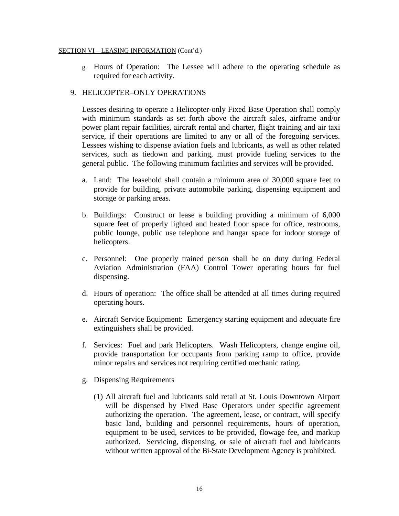g. Hours of Operation: The Lessee will adhere to the operating schedule as required for each activity.

## 9. HELICOPTER–ONLY OPERATIONS

Lessees desiring to operate a Helicopter-only Fixed Base Operation shall comply with minimum standards as set forth above the aircraft sales, airframe and/or power plant repair facilities, aircraft rental and charter, flight training and air taxi service, if their operations are limited to any or all of the foregoing services. Lessees wishing to dispense aviation fuels and lubricants, as well as other related services, such as tiedown and parking, must provide fueling services to the general public. The following minimum facilities and services will be provided.

- a. Land: The leasehold shall contain a minimum area of 30,000 square feet to provide for building, private automobile parking, dispensing equipment and storage or parking areas.
- b. Buildings: Construct or lease a building providing a minimum of 6,000 square feet of properly lighted and heated floor space for office, restrooms, public lounge, public use telephone and hangar space for indoor storage of helicopters.
- c. Personnel: One properly trained person shall be on duty during Federal Aviation Administration (FAA) Control Tower operating hours for fuel dispensing.
- d. Hours of operation: The office shall be attended at all times during required operating hours.
- e. Aircraft Service Equipment: Emergency starting equipment and adequate fire extinguishers shall be provided.
- f. Services: Fuel and park Helicopters. Wash Helicopters, change engine oil, provide transportation for occupants from parking ramp to office, provide minor repairs and services not requiring certified mechanic rating.
- g. Dispensing Requirements
	- (1) All aircraft fuel and lubricants sold retail at St. Louis Downtown Airport will be dispensed by Fixed Base Operators under specific agreement authorizing the operation. The agreement, lease, or contract, will specify basic land, building and personnel requirements, hours of operation, equipment to be used, services to be provided, flowage fee, and markup authorized. Servicing, dispensing, or sale of aircraft fuel and lubricants without written approval of the Bi-State Development Agency is prohibited.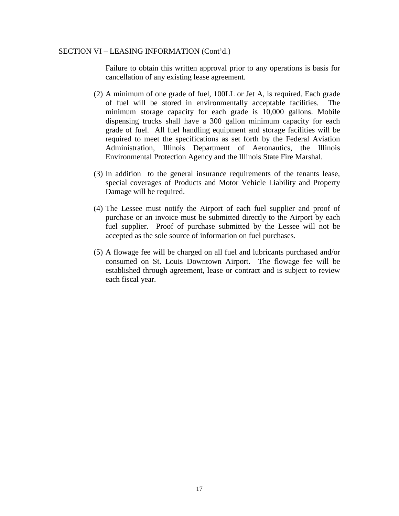Failure to obtain this written approval prior to any operations is basis for cancellation of any existing lease agreement.

- (2) A minimum of one grade of fuel, 100LL or Jet A, is required. Each grade of fuel will be stored in environmentally acceptable facilities. The minimum storage capacity for each grade is 10,000 gallons. Mobile dispensing trucks shall have a 300 gallon minimum capacity for each grade of fuel. All fuel handling equipment and storage facilities will be required to meet the specifications as set forth by the Federal Aviation Administration, Illinois Department of Aeronautics, the Illinois Environmental Protection Agency and the Illinois State Fire Marshal.
- (3) In addition to the general insurance requirements of the tenants lease, special coverages of Products and Motor Vehicle Liability and Property Damage will be required.
- (4) The Lessee must notify the Airport of each fuel supplier and proof of purchase or an invoice must be submitted directly to the Airport by each fuel supplier. Proof of purchase submitted by the Lessee will not be accepted as the sole source of information on fuel purchases.
- (5) A flowage fee will be charged on all fuel and lubricants purchased and/or consumed on St. Louis Downtown Airport. The flowage fee will be established through agreement, lease or contract and is subject to review each fiscal year.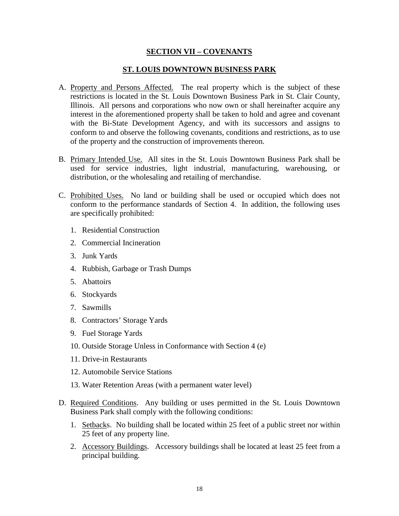## **SECTION VII – COVENANTS**

## **ST. LOUIS DOWNTOWN BUSINESS PARK**

- A. Property and Persons Affected. The real property which is the subject of these restrictions is located in the St. Louis Downtown Business Park in St. Clair County, Illinois. All persons and corporations who now own or shall hereinafter acquire any interest in the aforementioned property shall be taken to hold and agree and covenant with the Bi-State Development Agency, and with its successors and assigns to conform to and observe the following covenants, conditions and restrictions, as to use of the property and the construction of improvements thereon.
- B. Primary Intended Use. All sites in the St. Louis Downtown Business Park shall be used for service industries, light industrial, manufacturing, warehousing, or distribution, or the wholesaling and retailing of merchandise.
- C. Prohibited Uses. No land or building shall be used or occupied which does not conform to the performance standards of Section 4. In addition, the following uses are specifically prohibited:
	- 1. Residential Construction
	- 2. Commercial Incineration
	- 3. Junk Yards
	- 4. Rubbish, Garbage or Trash Dumps
	- 5. Abattoirs
	- 6. Stockyards
	- 7. Sawmills
	- 8. Contractors' Storage Yards
	- 9. Fuel Storage Yards
	- 10. Outside Storage Unless in Conformance with Section 4 (e)
	- 11. Drive-in Restaurants
	- 12. Automobile Service Stations
	- 13. Water Retention Areas (with a permanent water level)
- D. Required Conditions. Any building or uses permitted in the St. Louis Downtown Business Park shall comply with the following conditions:
	- 1. Setbacks. No building shall be located within 25 feet of a public street nor within 25 feet of any property line.
	- 2. Accessory Buildings. Accessory buildings shall be located at least 25 feet from a principal building.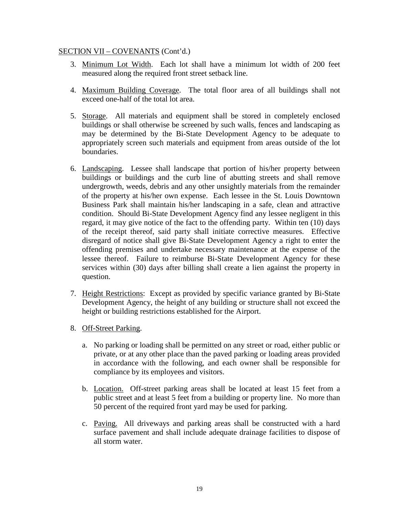- 3. Minimum Lot Width. Each lot shall have a minimum lot width of 200 feet measured along the required front street setback line.
- 4. Maximum Building Coverage. The total floor area of all buildings shall not exceed one-half of the total lot area.
- 5. Storage. All materials and equipment shall be stored in completely enclosed buildings or shall otherwise be screened by such walls, fences and landscaping as may be determined by the Bi-State Development Agency to be adequate to appropriately screen such materials and equipment from areas outside of the lot boundaries.
- 6. Landscaping. Lessee shall landscape that portion of his/her property between buildings or buildings and the curb line of abutting streets and shall remove undergrowth, weeds, debris and any other unsightly materials from the remainder of the property at his/her own expense. Each lessee in the St. Louis Downtown Business Park shall maintain his/her landscaping in a safe, clean and attractive condition. Should Bi-State Development Agency find any lessee negligent in this regard, it may give notice of the fact to the offending party. Within ten (10) days of the receipt thereof, said party shall initiate corrective measures. Effective disregard of notice shall give Bi-State Development Agency a right to enter the offending premises and undertake necessary maintenance at the expense of the lessee thereof. Failure to reimburse Bi-State Development Agency for these services within (30) days after billing shall create a lien against the property in question.
- 7. Height Restrictions: Except as provided by specific variance granted by Bi-State Development Agency, the height of any building or structure shall not exceed the height or building restrictions established for the Airport.
- 8. Off-Street Parking.
	- a. No parking or loading shall be permitted on any street or road, either public or private, or at any other place than the paved parking or loading areas provided in accordance with the following, and each owner shall be responsible for compliance by its employees and visitors.
	- b. Location. Off-street parking areas shall be located at least 15 feet from a public street and at least 5 feet from a building or property line. No more than 50 percent of the required front yard may be used for parking.
	- c. Paving. All driveways and parking areas shall be constructed with a hard surface pavement and shall include adequate drainage facilities to dispose of all storm water.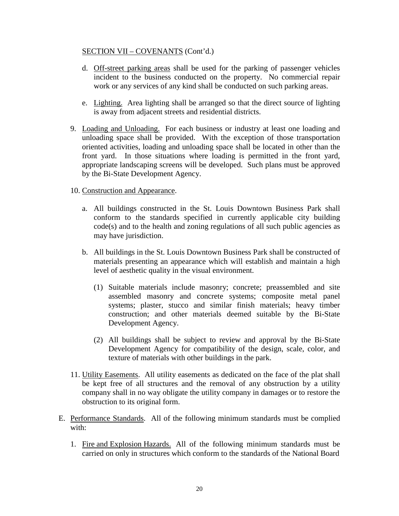- d. Off-street parking areas shall be used for the parking of passenger vehicles incident to the business conducted on the property. No commercial repair work or any services of any kind shall be conducted on such parking areas.
- e. Lighting. Area lighting shall be arranged so that the direct source of lighting is away from adjacent streets and residential districts.
- 9. Loading and Unloading. For each business or industry at least one loading and unloading space shall be provided. With the exception of those transportation oriented activities, loading and unloading space shall be located in other than the front yard. In those situations where loading is permitted in the front yard, appropriate landscaping screens will be developed. Such plans must be approved by the Bi-State Development Agency.

## 10. Construction and Appearance.

- a. All buildings constructed in the St. Louis Downtown Business Park shall conform to the standards specified in currently applicable city building code(s) and to the health and zoning regulations of all such public agencies as may have jurisdiction.
- b. All buildings in the St. Louis Downtown Business Park shall be constructed of materials presenting an appearance which will establish and maintain a high level of aesthetic quality in the visual environment.
	- (1) Suitable materials include masonry; concrete; preassembled and site assembled masonry and concrete systems; composite metal panel systems; plaster, stucco and similar finish materials; heavy timber construction; and other materials deemed suitable by the Bi-State Development Agency.
	- (2) All buildings shall be subject to review and approval by the Bi-State Development Agency for compatibility of the design, scale, color, and texture of materials with other buildings in the park.
- 11. Utility Easements. All utility easements as dedicated on the face of the plat shall be kept free of all structures and the removal of any obstruction by a utility company shall in no way obligate the utility company in damages or to restore the obstruction to its original form.
- E. Performance Standards. All of the following minimum standards must be complied with:
	- 1. Fire and Explosion Hazards. All of the following minimum standards must be carried on only in structures which conform to the standards of the National Board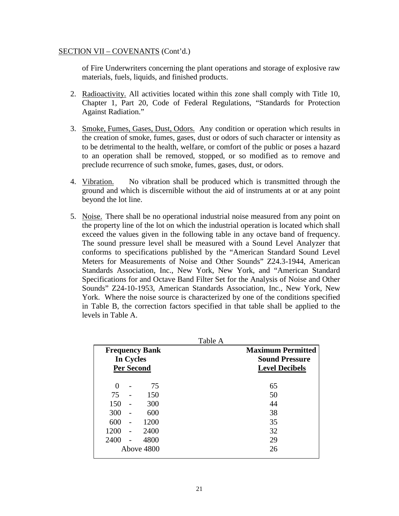of Fire Underwriters concerning the plant operations and storage of explosive raw materials, fuels, liquids, and finished products.

- 2. Radioactivity. All activities located within this zone shall comply with Title 10, Chapter 1, Part 20, Code of Federal Regulations, "Standards for Protection Against Radiation."
- 3. Smoke, Fumes, Gases, Dust, Odors. Any condition or operation which results in the creation of smoke, fumes, gases, dust or odors of such character or intensity as to be detrimental to the health, welfare, or comfort of the public or poses a hazard to an operation shall be removed, stopped, or so modified as to remove and preclude recurrence of such smoke, fumes, gases, dust, or odors.
- 4. Vibration. No vibration shall be produced which is transmitted through the ground and which is discernible without the aid of instruments at or at any point beyond the lot line.
- 5. Noise. There shall be no operational industrial noise measured from any point on the property line of the lot on which the industrial operation is located which shall exceed the values given in the following table in any octave band of frequency. The sound pressure level shall be measured with a Sound Level Analyzer that conforms to specifications published by the "American Standard Sound Level Meters for Measurements of Noise and Other Sounds" Z24.3-1944, American Standards Association, Inc., New York, New York, and "American Standard Specifications for and Octave Band Filter Set for the Analysis of Noise and Other Sounds" Z24-10-1953, American Standards Association, Inc., New York, New York. Where the noise source is characterized by one of the conditions specified in Table B, the correction factors specified in that table shall be applied to the levels in Table A.

|                                          | Table A                  |
|------------------------------------------|--------------------------|
| <b>Frequency Bank</b>                    | <b>Maximum Permitted</b> |
| In Cycles                                | <b>Sound Pressure</b>    |
| <b>Per Second</b>                        | <b>Level Decibels</b>    |
| 75<br>$\Omega$<br>$\overline{a}$         | 65                       |
| 150<br>75                                | 50                       |
| 150<br>300                               | 44                       |
| 300<br>600<br>$\overline{a}$             | 38                       |
| 600<br>1200<br>$\overline{a}$            | 35                       |
| 1200<br>2400<br>$\overline{\phantom{a}}$ | 32                       |
| 2400<br>4800<br>$\overline{a}$           | 29                       |
| Above 4800                               | 26                       |
|                                          |                          |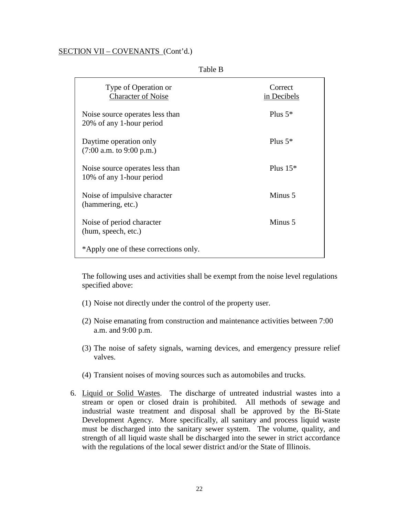| Type of Operation or<br><b>Character of Noise</b>           | Correct<br>in Decibels |
|-------------------------------------------------------------|------------------------|
| Noise source operates less than<br>20% of any 1-hour period | Plus $5*$              |
| Daytime operation only<br>$(7:00$ a.m. to 9:00 p.m.)        | Plus $5*$              |
| Noise source operates less than<br>10% of any 1-hour period | Plus $15*$             |
| Noise of impulsive character<br>(hammering, etc.)           | Minus 5                |
| Noise of period character<br>(hum, speech, etc.)            | Minus 5                |
| *Apply one of these corrections only.                       |                        |

Table B

The following uses and activities shall be exempt from the noise level regulations specified above:

- (1) Noise not directly under the control of the property user.
- (2) Noise emanating from construction and maintenance activities between 7:00 a.m. and 9:00 p.m.
- (3) The noise of safety signals, warning devices, and emergency pressure relief valves.
- (4) Transient noises of moving sources such as automobiles and trucks.
- 6. Liquid or Solid Wastes. The discharge of untreated industrial wastes into a stream or open or closed drain is prohibited. All methods of sewage and industrial waste treatment and disposal shall be approved by the Bi-State Development Agency. More specifically, all sanitary and process liquid waste must be discharged into the sanitary sewer system. The volume, quality, and strength of all liquid waste shall be discharged into the sewer in strict accordance with the regulations of the local sewer district and/or the State of Illinois.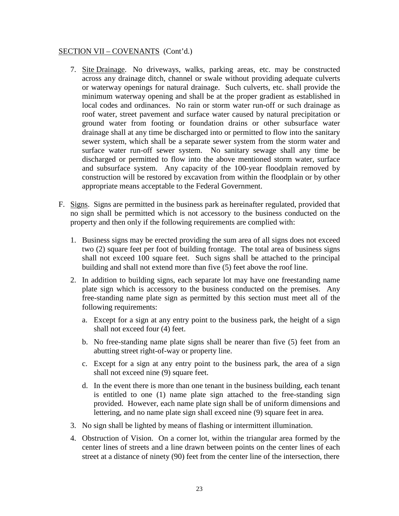- 7. Site Drainage. No driveways, walks, parking areas, etc. may be constructed across any drainage ditch, channel or swale without providing adequate culverts or waterway openings for natural drainage. Such culverts, etc. shall provide the minimum waterway opening and shall be at the proper gradient as established in local codes and ordinances. No rain or storm water run-off or such drainage as roof water, street pavement and surface water caused by natural precipitation or ground water from footing or foundation drains or other subsurface water drainage shall at any time be discharged into or permitted to flow into the sanitary sewer system, which shall be a separate sewer system from the storm water and surface water run-off sewer system. No sanitary sewage shall any time be discharged or permitted to flow into the above mentioned storm water, surface and subsurface system. Any capacity of the 100-year floodplain removed by construction will be restored by excavation from within the floodplain or by other appropriate means acceptable to the Federal Government.
- F. Signs. Signs are permitted in the business park as hereinafter regulated, provided that no sign shall be permitted which is not accessory to the business conducted on the property and then only if the following requirements are complied with:
	- 1. Business signs may be erected providing the sum area of all signs does not exceed two (2) square feet per foot of building frontage. The total area of business signs shall not exceed 100 square feet. Such signs shall be attached to the principal building and shall not extend more than five (5) feet above the roof line.
	- 2. In addition to building signs, each separate lot may have one freestanding name plate sign which is accessory to the business conducted on the premises. Any free-standing name plate sign as permitted by this section must meet all of the following requirements:
		- a. Except for a sign at any entry point to the business park, the height of a sign shall not exceed four (4) feet.
		- b. No free-standing name plate signs shall be nearer than five (5) feet from an abutting street right-of-way or property line.
		- c. Except for a sign at any entry point to the business park, the area of a sign shall not exceed nine (9) square feet.
		- d. In the event there is more than one tenant in the business building, each tenant is entitled to one (1) name plate sign attached to the free-standing sign provided. However, each name plate sign shall be of uniform dimensions and lettering, and no name plate sign shall exceed nine (9) square feet in area.
	- 3. No sign shall be lighted by means of flashing or intermittent illumination.
	- 4. Obstruction of Vision. On a corner lot, within the triangular area formed by the center lines of streets and a line drawn between points on the center lines of each street at a distance of ninety (90) feet from the center line of the intersection, there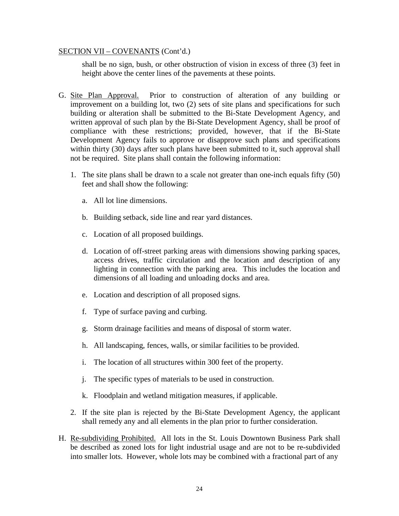shall be no sign, bush, or other obstruction of vision in excess of three (3) feet in height above the center lines of the pavements at these points.

- G. Site Plan Approval. Prior to construction of alteration of any building or improvement on a building lot, two (2) sets of site plans and specifications for such building or alteration shall be submitted to the Bi-State Development Agency, and written approval of such plan by the Bi-State Development Agency, shall be proof of compliance with these restrictions; provided, however, that if the Bi-State Development Agency fails to approve or disapprove such plans and specifications within thirty (30) days after such plans have been submitted to it, such approval shall not be required. Site plans shall contain the following information:
	- 1. The site plans shall be drawn to a scale not greater than one-inch equals fifty (50) feet and shall show the following:
		- a. All lot line dimensions.
		- b. Building setback, side line and rear yard distances.
		- c. Location of all proposed buildings.
		- d. Location of off-street parking areas with dimensions showing parking spaces, access drives, traffic circulation and the location and description of any lighting in connection with the parking area. This includes the location and dimensions of all loading and unloading docks and area.
		- e. Location and description of all proposed signs.
		- f. Type of surface paving and curbing.
		- g. Storm drainage facilities and means of disposal of storm water.
		- h. All landscaping, fences, walls, or similar facilities to be provided.
		- i. The location of all structures within 300 feet of the property.
		- j. The specific types of materials to be used in construction.
		- k. Floodplain and wetland mitigation measures, if applicable.
	- 2. If the site plan is rejected by the Bi-State Development Agency, the applicant shall remedy any and all elements in the plan prior to further consideration.
- H. Re-subdividing Prohibited. All lots in the St. Louis Downtown Business Park shall be described as zoned lots for light industrial usage and are not to be re-subdivided into smaller lots. However, whole lots may be combined with a fractional part of any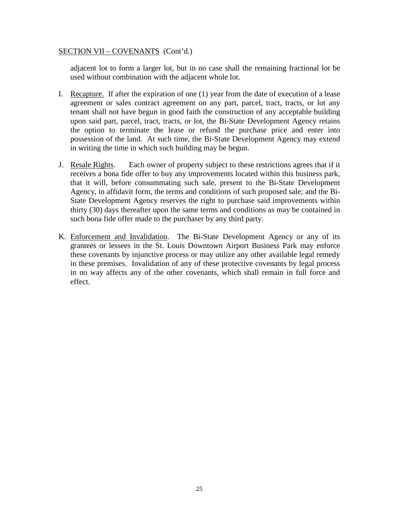adjacent lot to form a larger lot, but in no case shall the remaining fractional lot be used without combination with the adjacent whole lot.

- I. Recapture. If after the expiration of one (1) year from the date of execution of a lease agreement or sales contract agreement on any part, parcel, tract, tracts, or lot any tenant shall not have begun in good faith the construction of any acceptable building upon said part, parcel, tract, tracts, or lot, the Bi-State Development Agency retains the option to terminate the lease or refund the purchase price and enter into possession of the land. At such time, the Bi-State Development Agency may extend in writing the time in which such building may be begun.
- J. Resale Rights. Each owner of property subject to these restrictions agrees that if it receives a bona fide offer to buy any improvements located within this business park, that it will, before consummating such sale, present to the Bi-State Development Agency, in affidavit form, the terms and conditions of such proposed sale; and the Bi-State Development Agency reserves the right to purchase said improvements within thirty (30) days thereafter upon the same terms and conditions as may be contained in such bona fide offer made to the purchaser by any third party.
- K. Enforcement and Invalidation. The Bi-State Development Agency or any of its grantees or lessees in the St. Louis Downtown Airport Business Park may enforce these covenants by injunctive process or may utilize any other available legal remedy in these premises. Invalidation of any of these protective covenants by legal process in no way affects any of the other covenants, which shall remain in full force and effect.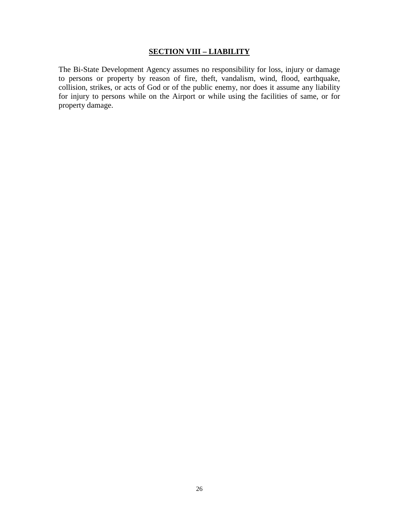## **SECTION VIII – LIABILITY**

The Bi-State Development Agency assumes no responsibility for loss, injury or damage to persons or property by reason of fire, theft, vandalism, wind, flood, earthquake, collision, strikes, or acts of God or of the public enemy, nor does it assume any liability for injury to persons while on the Airport or while using the facilities of same, or for property damage.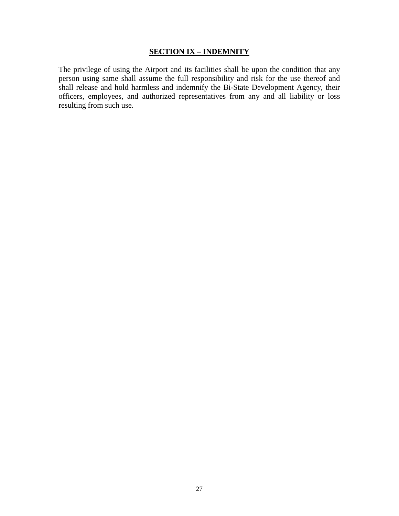## **SECTION IX – INDEMNITY**

The privilege of using the Airport and its facilities shall be upon the condition that any person using same shall assume the full responsibility and risk for the use thereof and shall release and hold harmless and indemnify the Bi-State Development Agency, their officers, employees, and authorized representatives from any and all liability or loss resulting from such use.